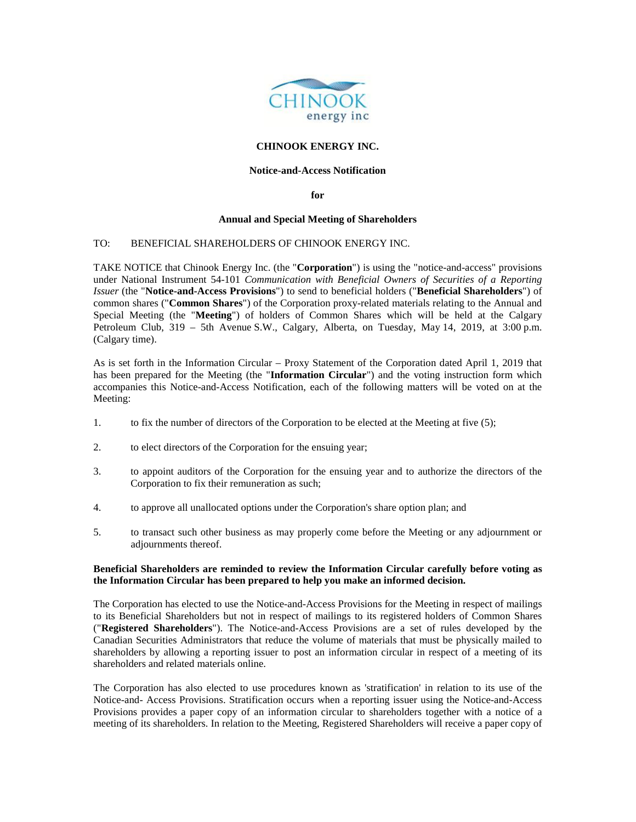

## **CHINOOK ENERGY INC.**

## **Notice-and-Access Notification**

**for** 

#### **Annual and Special Meeting of Shareholders**

#### TO: BENEFICIAL SHAREHOLDERS OF CHINOOK ENERGY INC.

TAKE NOTICE that Chinook Energy Inc. (the "**Corporation**") is using the "notice-and-access" provisions under National Instrument 54-101 *Communication with Beneficial Owners of Securities of a Reporting Issuer* (the "**Notice-and-Access Provisions**") to send to beneficial holders ("**Beneficial Shareholders**") of common shares ("**Common Shares**") of the Corporation proxy-related materials relating to the Annual and Special Meeting (the "**Meeting**") of holders of Common Shares which will be held at the Calgary Petroleum Club, 319 – 5th Avenue S.W., Calgary, Alberta, on Tuesday, May 14, 2019, at 3:00 p.m. (Calgary time).

As is set forth in the Information Circular – Proxy Statement of the Corporation dated April 1, 2019 that has been prepared for the Meeting (the "**Information Circular**") and the voting instruction form which accompanies this Notice-and-Access Notification, each of the following matters will be voted on at the Meeting:

- 1. to fix the number of directors of the Corporation to be elected at the Meeting at five (5);
- 2. to elect directors of the Corporation for the ensuing year;
- 3. to appoint auditors of the Corporation for the ensuing year and to authorize the directors of the Corporation to fix their remuneration as such;
- 4. to approve all unallocated options under the Corporation's share option plan; and
- 5. to transact such other business as may properly come before the Meeting or any adjournment or adjournments thereof.

## **Beneficial Shareholders are reminded to review the Information Circular carefully before voting as the Information Circular has been prepared to help you make an informed decision.**

The Corporation has elected to use the Notice-and-Access Provisions for the Meeting in respect of mailings to its Beneficial Shareholders but not in respect of mailings to its registered holders of Common Shares ("**Registered Shareholders**"). The Notice-and-Access Provisions are a set of rules developed by the Canadian Securities Administrators that reduce the volume of materials that must be physically mailed to shareholders by allowing a reporting issuer to post an information circular in respect of a meeting of its shareholders and related materials online.

The Corporation has also elected to use procedures known as 'stratification' in relation to its use of the Notice-and- Access Provisions. Stratification occurs when a reporting issuer using the Notice-and-Access Provisions provides a paper copy of an information circular to shareholders together with a notice of a meeting of its shareholders. In relation to the Meeting, Registered Shareholders will receive a paper copy of